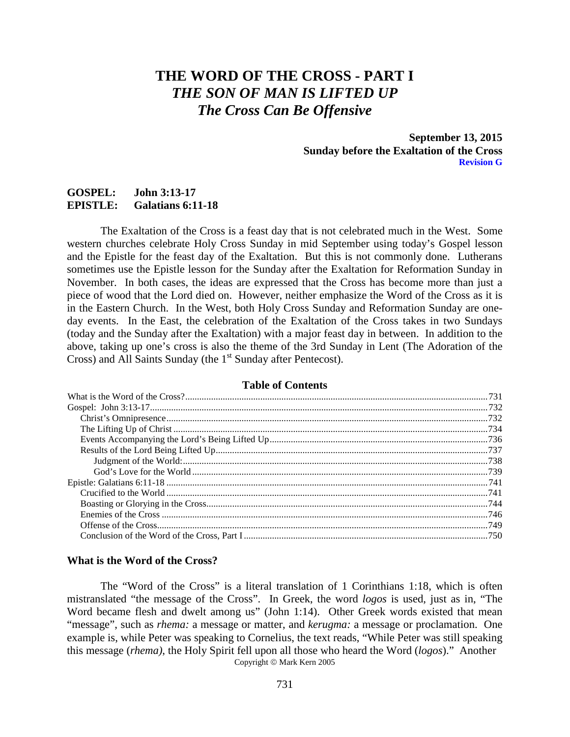# **THE WORD OF THE CROSS - PART I** *THE SON OF MAN IS LIFTED UP The Cross Can Be Offensive*

**September 13, 2015 Sunday before the Exaltation of the Cross Revision G**

# **GOSPEL: John 3:13-17 EPISTLE: Galatians 6:11-18**

The Exaltation of the Cross is a feast day that is not celebrated much in the West. Some western churches celebrate Holy Cross Sunday in mid September using today's Gospel lesson and the Epistle for the feast day of the Exaltation. But this is not commonly done. Lutherans sometimes use the Epistle lesson for the Sunday after the Exaltation for Reformation Sunday in November. In both cases, the ideas are expressed that the Cross has become more than just a piece of wood that the Lord died on. However, neither emphasize the Word of the Cross as it is in the Eastern Church. In the West, both Holy Cross Sunday and Reformation Sunday are oneday events. In the East, the celebration of the Exaltation of the Cross takes in two Sundays (today and the Sunday after the Exaltation) with a major feast day in between. In addition to the above, taking up one's cross is also the theme of the 3rd Sunday in Lent (The Adoration of the Cross) and All Saints Sunday (the 1<sup>st</sup> Sunday after Pentecost).

## **Table of Contents**

#### <span id="page-0-0"></span>**What is the Word of the Cross?**

The "Word of the Cross" is a literal translation of 1 Corinthians 1:18, which is often mistranslated "the message of the Cross". In Greek, the word *logos* is used, just as in, "The Word became flesh and dwelt among us" (John 1:14). Other Greek words existed that mean "message", such as *rhema:* a message or matter, and *kerugma:* a message or proclamation. One example is, while Peter was speaking to Cornelius, the text reads, "While Peter was still speaking this message (*rhema)*, the Holy Spirit fell upon all those who heard the Word (*logos*)." Another Copyright © Mark Kern 2005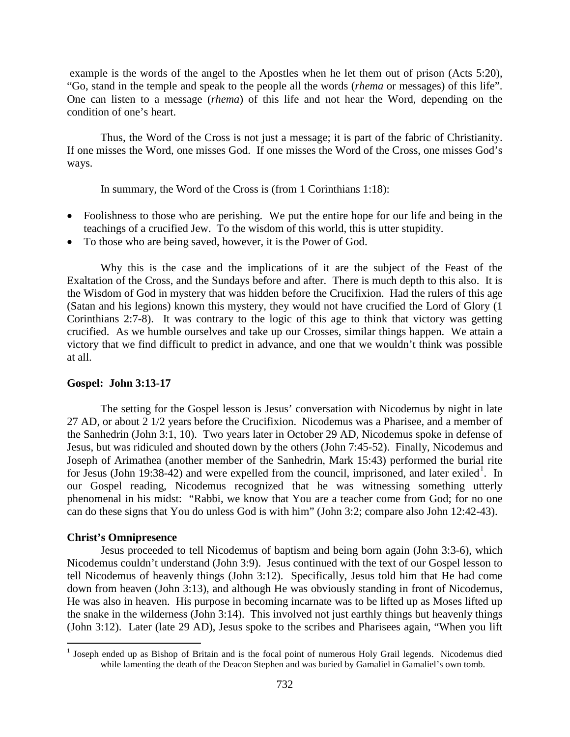example is the words of the angel to the Apostles when he let them out of prison (Acts 5:20), "Go, stand in the temple and speak to the people all the words (*rhema* or messages) of this life". One can listen to a message (*rhema*) of this life and not hear the Word, depending on the condition of one's heart.

Thus, the Word of the Cross is not just a message; it is part of the fabric of Christianity. If one misses the Word, one misses God. If one misses the Word of the Cross, one misses God's ways.

In summary, the Word of the Cross is (from 1 Corinthians 1:18):

- Foolishness to those who are perishing. We put the entire hope for our life and being in the teachings of a crucified Jew. To the wisdom of this world, this is utter stupidity.
- To those who are being saved, however, it is the Power of God.

Why this is the case and the implications of it are the subject of the Feast of the Exaltation of the Cross, and the Sundays before and after. There is much depth to this also. It is the Wisdom of God in mystery that was hidden before the Crucifixion. Had the rulers of this age (Satan and his legions) known this mystery, they would not have crucified the Lord of Glory (1 Corinthians 2:7-8). It was contrary to the logic of this age to think that victory was getting crucified. As we humble ourselves and take up our Crosses, similar things happen. We attain a victory that we find difficult to predict in advance, and one that we wouldn't think was possible at all.

# <span id="page-1-0"></span>**Gospel: John 3:13-17**

The setting for the Gospel lesson is Jesus' conversation with Nicodemus by night in late 27 AD, or about 2 1/2 years before the Crucifixion. Nicodemus was a Pharisee, and a member of the Sanhedrin (John 3:1, 10). Two years later in October 29 AD, Nicodemus spoke in defense of Jesus, but was ridiculed and shouted down by the others (John 7:45-52). Finally, Nicodemus and Joseph of Arimathea (another member of the Sanhedrin, Mark 15:43) performed the burial rite for Jesus (John [1](#page-1-2)9:38-42) and were expelled from the council, imprisoned, and later exiled<sup>1</sup>. In our Gospel reading, Nicodemus recognized that he was witnessing something utterly phenomenal in his midst: "Rabbi, we know that You are a teacher come from God; for no one can do these signs that You do unless God is with him" (John 3:2; compare also John 12:42-43).

# <span id="page-1-1"></span>**Christ's Omnipresence**

Jesus proceeded to tell Nicodemus of baptism and being born again (John 3:3-6), which Nicodemus couldn't understand (John 3:9). Jesus continued with the text of our Gospel lesson to tell Nicodemus of heavenly things (John 3:12). Specifically, Jesus told him that He had come down from heaven (John 3:13), and although He was obviously standing in front of Nicodemus, He was also in heaven. His purpose in becoming incarnate was to be lifted up as Moses lifted up the snake in the wilderness (John 3:14). This involved not just earthly things but heavenly things (John 3:12). Later (late 29 AD), Jesus spoke to the scribes and Pharisees again, "When you lift

<span id="page-1-2"></span><sup>&</sup>lt;sup>1</sup> Joseph ended up as Bishop of Britain and is the focal point of numerous Holy Grail legends. Nicodemus died while lamenting the death of the Deacon Stephen and was buried by Gamaliel in Gamaliel's own tomb.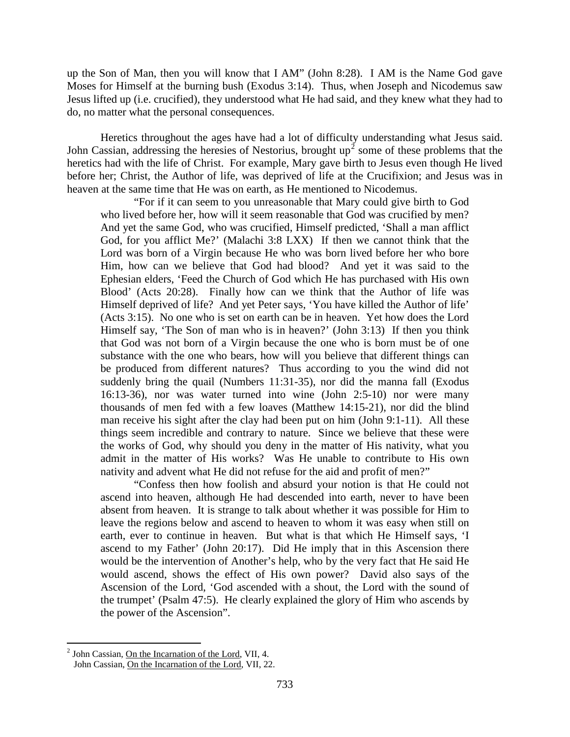up the Son of Man, then you will know that I AM" (John 8:28). I AM is the Name God gave Moses for Himself at the burning bush (Exodus 3:14). Thus, when Joseph and Nicodemus saw Jesus lifted up (i.e. crucified), they understood what He had said, and they knew what they had to do, no matter what the personal consequences.

Heretics throughout the ages have had a lot of difficulty understanding what Jesus said. John Cassian, addressing the heresies of Nestorius, brought  $up^2$  $up^2$  some of these problems that the heretics had with the life of Christ. For example, Mary gave birth to Jesus even though He lived before her; Christ, the Author of life, was deprived of life at the Crucifixion; and Jesus was in heaven at the same time that He was on earth, as He mentioned to Nicodemus.

"For if it can seem to you unreasonable that Mary could give birth to God who lived before her, how will it seem reasonable that God was crucified by men? And yet the same God, who was crucified, Himself predicted, 'Shall a man afflict God, for you afflict Me?' (Malachi 3:8 LXX) If then we cannot think that the Lord was born of a Virgin because He who was born lived before her who bore Him, how can we believe that God had blood? And yet it was said to the Ephesian elders, 'Feed the Church of God which He has purchased with His own Blood' (Acts 20:28). Finally how can we think that the Author of life was Himself deprived of life? And yet Peter says, 'You have killed the Author of life' (Acts 3:15). No one who is set on earth can be in heaven. Yet how does the Lord Himself say, 'The Son of man who is in heaven?' (John 3:13) If then you think that God was not born of a Virgin because the one who is born must be of one substance with the one who bears, how will you believe that different things can be produced from different natures? Thus according to you the wind did not suddenly bring the quail (Numbers 11:31-35), nor did the manna fall (Exodus 16:13-36), nor was water turned into wine (John 2:5-10) nor were many thousands of men fed with a few loaves (Matthew 14:15-21), nor did the blind man receive his sight after the clay had been put on him (John 9:1-11). All these things seem incredible and contrary to nature. Since we believe that these were the works of God, why should you deny in the matter of His nativity, what you admit in the matter of His works? Was He unable to contribute to His own nativity and advent what He did not refuse for the aid and profit of men?"

"Confess then how foolish and absurd your notion is that He could not ascend into heaven, although He had descended into earth, never to have been absent from heaven. It is strange to talk about whether it was possible for Him to leave the regions below and ascend to heaven to whom it was easy when still on earth, ever to continue in heaven. But what is that which He Himself says, 'I ascend to my Father' (John 20:17). Did He imply that in this Ascension there would be the intervention of Another's help, who by the very fact that He said He would ascend, shows the effect of His own power? David also says of the Ascension of the Lord, 'God ascended with a shout, the Lord with the sound of the trumpet' (Psalm 47:5). He clearly explained the glory of Him who ascends by the power of the Ascension".

<span id="page-2-0"></span><sup>&</sup>lt;sup>2</sup> John Cassian, On the Incarnation of the Lord, VII, 4. John Cassian, On the Incarnation of the Lord, VII, 22.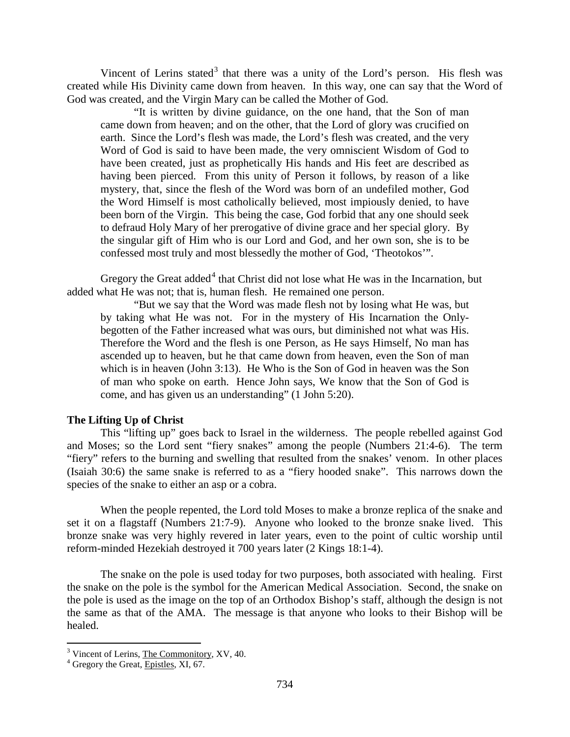Vincent of Lerins stated<sup>[3](#page-3-1)</sup> that there was a unity of the Lord's person. His flesh was created while His Divinity came down from heaven. In this way, one can say that the Word of God was created, and the Virgin Mary can be called the Mother of God.

"It is written by divine guidance, on the one hand, that the Son of man came down from heaven; and on the other, that the Lord of glory was crucified on earth. Since the Lord's flesh was made, the Lord's flesh was created, and the very Word of God is said to have been made, the very omniscient Wisdom of God to have been created, just as prophetically His hands and His feet are described as having been pierced. From this unity of Person it follows, by reason of a like mystery, that, since the flesh of the Word was born of an undefiled mother, God the Word Himself is most catholically believed, most impiously denied, to have been born of the Virgin. This being the case, God forbid that any one should seek to defraud Holy Mary of her prerogative of divine grace and her special glory. By the singular gift of Him who is our Lord and God, and her own son, she is to be confessed most truly and most blessedly the mother of God, 'Theotokos'".

Gregory the Great added<sup>[4](#page-3-2)</sup> that Christ did not lose what He was in the Incarnation, but added what He was not; that is, human flesh. He remained one person.

"But we say that the Word was made flesh not by losing what He was, but by taking what He was not. For in the mystery of His Incarnation the Onlybegotten of the Father increased what was ours, but diminished not what was His. Therefore the Word and the flesh is one Person, as He says Himself, No man has ascended up to heaven, but he that came down from heaven, even the Son of man which is in heaven (John 3:13). He Who is the Son of God in heaven was the Son of man who spoke on earth. Hence John says, We know that the Son of God is come, and has given us an understanding" (1 John 5:20).

#### <span id="page-3-0"></span>**The Lifting Up of Christ**

This "lifting up" goes back to Israel in the wilderness. The people rebelled against God and Moses; so the Lord sent "fiery snakes" among the people (Numbers 21:4-6). The term "fiery" refers to the burning and swelling that resulted from the snakes' venom. In other places (Isaiah 30:6) the same snake is referred to as a "fiery hooded snake". This narrows down the species of the snake to either an asp or a cobra.

When the people repented, the Lord told Moses to make a bronze replica of the snake and set it on a flagstaff (Numbers 21:7-9). Anyone who looked to the bronze snake lived. This bronze snake was very highly revered in later years, even to the point of cultic worship until reform-minded Hezekiah destroyed it 700 years later (2 Kings 18:1-4).

The snake on the pole is used today for two purposes, both associated with healing. First the snake on the pole is the symbol for the American Medical Association. Second, the snake on the pole is used as the image on the top of an Orthodox Bishop's staff, although the design is not the same as that of the AMA. The message is that anyone who looks to their Bishop will be healed.

<span id="page-3-1"></span> $3$  Vincent of Lerins, The Commonitory, XV, 40.  $4$  Gregory the Great, Epistles, XI, 67.

<span id="page-3-2"></span>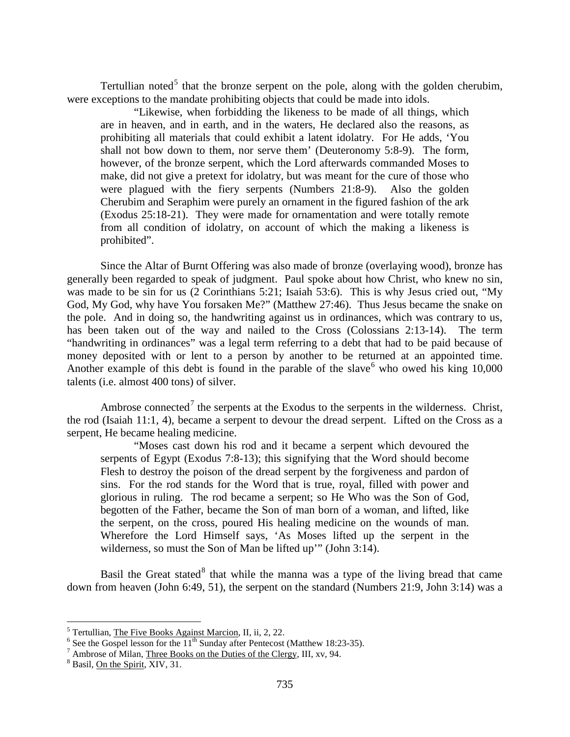Tertullian noted<sup>[5](#page-4-0)</sup> that the bronze serpent on the pole, along with the golden cherubim, were exceptions to the mandate prohibiting objects that could be made into idols.

"Likewise, when forbidding the likeness to be made of all things, which are in heaven, and in earth, and in the waters, He declared also the reasons, as prohibiting all materials that could exhibit a latent idolatry. For He adds, 'You shall not bow down to them, nor serve them' (Deuteronomy 5:8-9). The form, however, of the bronze serpent, which the Lord afterwards commanded Moses to make, did not give a pretext for idolatry, but was meant for the cure of those who were plagued with the fiery serpents (Numbers 21:8-9). Also the golden Cherubim and Seraphim were purely an ornament in the figured fashion of the ark (Exodus 25:18-21). They were made for ornamentation and were totally remote from all condition of idolatry, on account of which the making a likeness is prohibited".

Since the Altar of Burnt Offering was also made of bronze (overlaying wood), bronze has generally been regarded to speak of judgment. Paul spoke about how Christ, who knew no sin, was made to be sin for us (2 Corinthians 5:21; Isaiah 53:6). This is why Jesus cried out, "My God, My God, why have You forsaken Me?" (Matthew 27:46). Thus Jesus became the snake on the pole. And in doing so, the handwriting against us in ordinances, which was contrary to us, has been taken out of the way and nailed to the Cross (Colossians 2:13-14). The term "handwriting in ordinances" was a legal term referring to a debt that had to be paid because of money deposited with or lent to a person by another to be returned at an appointed time. Another example of this debt is found in the parable of the slave who owed his king 10,000 talents (i.e. almost 400 tons) of silver.

Ambrose connected<sup>[7](#page-4-2)</sup> the serpents at the Exodus to the serpents in the wilderness. Christ, the rod (Isaiah 11:1, 4), became a serpent to devour the dread serpent. Lifted on the Cross as a serpent, He became healing medicine.

"Moses cast down his rod and it became a serpent which devoured the serpents of Egypt (Exodus 7:8-13); this signifying that the Word should become Flesh to destroy the poison of the dread serpent by the forgiveness and pardon of sins. For the rod stands for the Word that is true, royal, filled with power and glorious in ruling. The rod became a serpent; so He Who was the Son of God, begotten of the Father, became the Son of man born of a woman, and lifted, like the serpent, on the cross, poured His healing medicine on the wounds of man. Wherefore the Lord Himself says, 'As Moses lifted up the serpent in the wilderness, so must the Son of Man be lifted up'" (John 3:14).

Basil the Great stated<sup>[8](#page-4-3)</sup> that while the manna was a type of the living bread that came down from heaven (John 6:49, 51), the serpent on the standard (Numbers 21:9, John 3:14) was a

<span id="page-4-1"></span><span id="page-4-0"></span><sup>&</sup>lt;sup>5</sup> Tertullian, <u>The Five Books Against Marcion</u>, II, ii, 2, 22.<br>
<sup>6</sup> See the Gospel lesson for the 11<sup>th</sup> Sunday after Pentecost (Matthew 18:23-35).<br>
<sup>7</sup> Ambrose of Milan, <u>Three Books on the Duties of the Clergy</u>, III,

<span id="page-4-2"></span>

<span id="page-4-3"></span>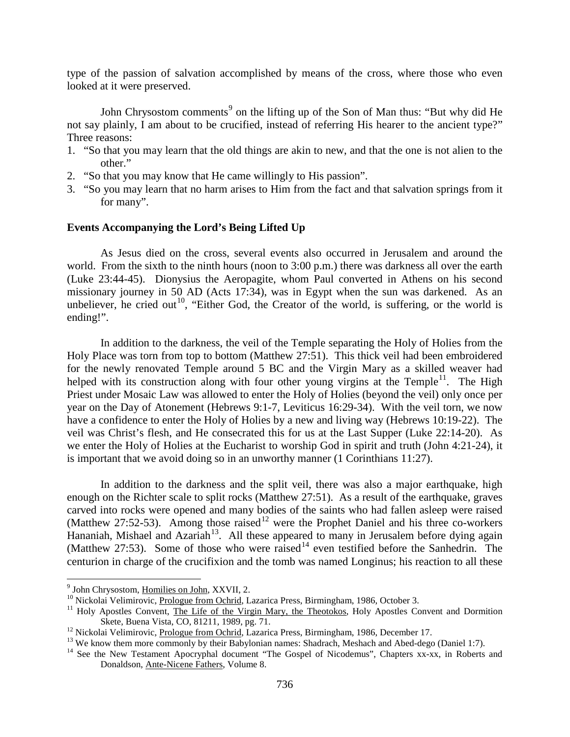type of the passion of salvation accomplished by means of the cross, where those who even looked at it were preserved.

John Chrysostom comments<sup>[9](#page-5-1)</sup> on the lifting up of the Son of Man thus: "But why did He not say plainly, I am about to be crucified, instead of referring His hearer to the ancient type?" Three reasons:

- 1. "So that you may learn that the old things are akin to new, and that the one is not alien to the other."
- 2. "So that you may know that He came willingly to His passion".
- 3. "So you may learn that no harm arises to Him from the fact and that salvation springs from it for many".

#### <span id="page-5-0"></span>**Events Accompanying the Lord's Being Lifted Up**

As Jesus died on the cross, several events also occurred in Jerusalem and around the world. From the sixth to the ninth hours (noon to 3:00 p.m.) there was darkness all over the earth (Luke 23:44-45). Dionysius the Aeropagite, whom Paul converted in Athens on his second missionary journey in 50 AD (Acts 17:34), was in Egypt when the sun was darkened. As an unbeliever, he cried out<sup>10</sup>, "Either God, the Creator of the world, is suffering, or the world is ending!".

In addition to the darkness, the veil of the Temple separating the Holy of Holies from the Holy Place was torn from top to bottom (Matthew 27:51). This thick veil had been embroidered for the newly renovated Temple around 5 BC and the Virgin Mary as a skilled weaver had helped with its construction along with four other young virgins at the Temple<sup>11</sup>. The High Priest under Mosaic Law was allowed to enter the Holy of Holies (beyond the veil) only once per year on the Day of Atonement (Hebrews 9:1-7, Leviticus 16:29-34). With the veil torn, we now have a confidence to enter the Holy of Holies by a new and living way (Hebrews 10:19-22). The veil was Christ's flesh, and He consecrated this for us at the Last Supper (Luke 22:14-20). As we enter the Holy of Holies at the Eucharist to worship God in spirit and truth (John 4:21-24), it is important that we avoid doing so in an unworthy manner (1 Corinthians 11:27).

In addition to the darkness and the split veil, there was also a major earthquake, high enough on the Richter scale to split rocks (Matthew 27:51). As a result of the earthquake, graves carved into rocks were opened and many bodies of the saints who had fallen asleep were raised (Matthew 27:52-53). Among those raised<sup>[12](#page-5-4)</sup> were the Prophet Daniel and his three co-workers Hananiah, Mishael and Azariah<sup>13</sup>. All these appeared to many in Jerusalem before dying again (Matthew 27:53). Some of those who were raised<sup>[14](#page-5-6)</sup> even testified before the Sanhedrin. The centurion in charge of the crucifixion and the tomb was named Longinus; his reaction to all these

<span id="page-5-3"></span>

<span id="page-5-2"></span><span id="page-5-1"></span><sup>&</sup>lt;sup>9</sup> John Chrysostom, <u>Homilies on John</u>, XXVII, 2.<br><sup>10</sup> Nickolai Velimirovic, <u>Prologue from Ochrid</u>, Lazarica Press, Birmingham, 1986, October 3.<br><sup>11</sup> Holy Apostles Convent, <u>The Life of the Virgin Mary, the Theotokos</u>, H

<span id="page-5-5"></span>

<span id="page-5-4"></span><sup>&</sup>lt;sup>12</sup> Nickolai Velimirovic, <u>Prologue from Ochrid</u>, Lazarica Press, Birmingham, 1986, December 17.<br><sup>13</sup> We know them more commonly by their Babylonian names: Shadrach, Meshach and Abed-dego (Daniel 1:7).<br><sup>14</sup> See the New T

<span id="page-5-6"></span>Donaldson, Ante-Nicene Fathers, Volume 8.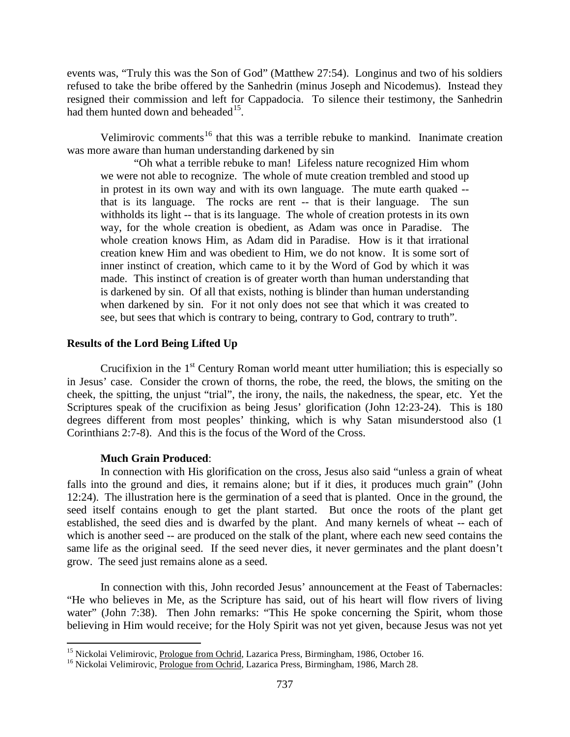events was, "Truly this was the Son of God" (Matthew 27:54). Longinus and two of his soldiers refused to take the bribe offered by the Sanhedrin (minus Joseph and Nicodemus). Instead they resigned their commission and left for Cappadocia. To silence their testimony, the Sanhedrin had them hunted down and beheaded<sup>15</sup>.

Velimirovic comments<sup>[16](#page-6-2)</sup> that this was a terrible rebuke to mankind. Inanimate creation was more aware than human understanding darkened by sin

"Oh what a terrible rebuke to man! Lifeless nature recognized Him whom we were not able to recognize. The whole of mute creation trembled and stood up in protest in its own way and with its own language. The mute earth quaked - that is its language. The rocks are rent -- that is their language. The sun withholds its light -- that is its language. The whole of creation protests in its own way, for the whole creation is obedient, as Adam was once in Paradise. The whole creation knows Him, as Adam did in Paradise. How is it that irrational creation knew Him and was obedient to Him, we do not know. It is some sort of inner instinct of creation, which came to it by the Word of God by which it was made. This instinct of creation is of greater worth than human understanding that is darkened by sin. Of all that exists, nothing is blinder than human understanding when darkened by sin. For it not only does not see that which it was created to see, but sees that which is contrary to being, contrary to God, contrary to truth".

## <span id="page-6-0"></span>**Results of the Lord Being Lifted Up**

Crucifixion in the  $1<sup>st</sup>$  Century Roman world meant utter humiliation; this is especially so in Jesus' case. Consider the crown of thorns, the robe, the reed, the blows, the smiting on the cheek, the spitting, the unjust "trial", the irony, the nails, the nakedness, the spear, etc. Yet the Scriptures speak of the crucifixion as being Jesus' glorification (John 12:23-24). This is 180 degrees different from most peoples' thinking, which is why Satan misunderstood also (1 Corinthians 2:7-8). And this is the focus of the Word of the Cross.

#### **Much Grain Produced**:

In connection with His glorification on the cross, Jesus also said "unless a grain of wheat falls into the ground and dies, it remains alone; but if it dies, it produces much grain" (John 12:24). The illustration here is the germination of a seed that is planted. Once in the ground, the seed itself contains enough to get the plant started. But once the roots of the plant get established, the seed dies and is dwarfed by the plant. And many kernels of wheat -- each of which is another seed -- are produced on the stalk of the plant, where each new seed contains the same life as the original seed. If the seed never dies, it never germinates and the plant doesn't grow. The seed just remains alone as a seed.

In connection with this, John recorded Jesus' announcement at the Feast of Tabernacles: "He who believes in Me, as the Scripture has said, out of his heart will flow rivers of living water" (John 7:38). Then John remarks: "This He spoke concerning the Spirit, whom those believing in Him would receive; for the Holy Spirit was not yet given, because Jesus was not yet

<span id="page-6-1"></span><sup>&</sup>lt;sup>15</sup> Nickolai Velimirovic, <u>Prologue from Ochrid</u>, Lazarica Press, Birmingham, 1986, October 16.<br><sup>16</sup> Nickolai Velimirovic, <u>Prologue from Ochrid</u>, Lazarica Press, Birmingham, 1986, March 28.

<span id="page-6-2"></span>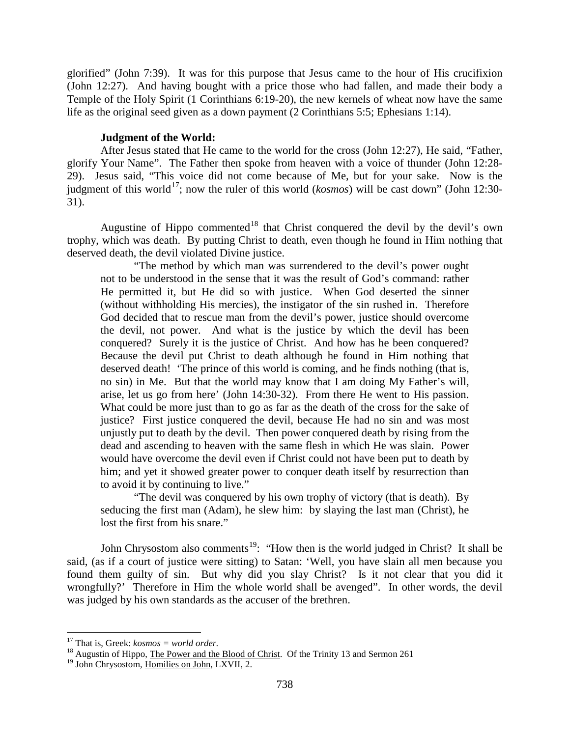glorified" (John 7:39). It was for this purpose that Jesus came to the hour of His crucifixion (John 12:27). And having bought with a price those who had fallen, and made their body a Temple of the Holy Spirit (1 Corinthians 6:19-20), the new kernels of wheat now have the same life as the original seed given as a down payment (2 Corinthians 5:5; Ephesians 1:14).

#### **Judgment of the World:**

<span id="page-7-0"></span>After Jesus stated that He came to the world for the cross (John 12:27), He said, "Father, glorify Your Name". The Father then spoke from heaven with a voice of thunder (John 12:28- 29). Jesus said, "This voice did not come because of Me, but for your sake. Now is the judgment of this world<sup>17</sup>; now the ruler of this world ( $kosmos$ ) will be cast down" (John 12:30-31).

Augustine of Hippo commented<sup>[18](#page-7-2)</sup> that Christ conquered the devil by the devil's own trophy, which was death. By putting Christ to death, even though he found in Him nothing that deserved death, the devil violated Divine justice.

"The method by which man was surrendered to the devil's power ought not to be understood in the sense that it was the result of God's command: rather He permitted it, but He did so with justice. When God deserted the sinner (without withholding His mercies), the instigator of the sin rushed in. Therefore God decided that to rescue man from the devil's power, justice should overcome the devil, not power. And what is the justice by which the devil has been conquered? Surely it is the justice of Christ. And how has he been conquered? Because the devil put Christ to death although he found in Him nothing that deserved death! 'The prince of this world is coming, and he finds nothing (that is, no sin) in Me. But that the world may know that I am doing My Father's will, arise, let us go from here' (John 14:30-32). From there He went to His passion. What could be more just than to go as far as the death of the cross for the sake of justice? First justice conquered the devil, because He had no sin and was most unjustly put to death by the devil. Then power conquered death by rising from the dead and ascending to heaven with the same flesh in which He was slain. Power would have overcome the devil even if Christ could not have been put to death by him; and yet it showed greater power to conquer death itself by resurrection than to avoid it by continuing to live."

"The devil was conquered by his own trophy of victory (that is death). By seducing the first man (Adam), he slew him: by slaying the last man (Christ), he lost the first from his snare."

John Chrysostom also comments<sup>19</sup>: "How then is the world judged in Christ? It shall be said, (as if a court of justice were sitting) to Satan: 'Well, you have slain all men because you found them guilty of sin. But why did you slay Christ? Is it not clear that you did it wrongfully?' Therefore in Him the whole world shall be avenged". In other words, the devil was judged by his own standards as the accuser of the brethren.

<span id="page-7-1"></span><sup>&</sup>lt;sup>17</sup> That is, Greek: *kosmos = world order*.<br><sup>18</sup> Augustin of Hippo, The Power and the Blood of Christ. Of the Trinity 13 and Sermon 261

<span id="page-7-3"></span><span id="page-7-2"></span><sup>&</sup>lt;sup>19</sup> John Chrysostom, Homilies on John, LXVII, 2.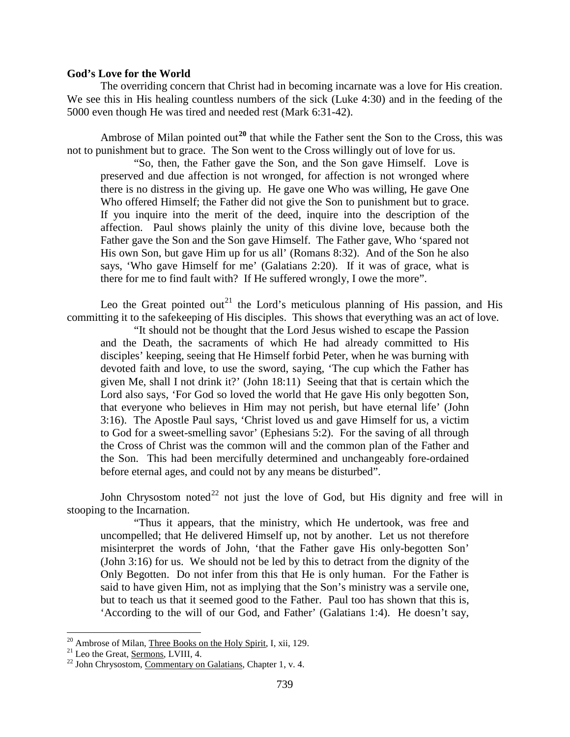#### <span id="page-8-0"></span>**God's Love for the World**

The overriding concern that Christ had in becoming incarnate was a love for His creation. We see this in His healing countless numbers of the sick (Luke 4:30) and in the feeding of the 5000 even though He was tired and needed rest (Mark 6:31-42).

Ambrose of Milan pointed out<sup>[20](#page-8-1)</sup> that while the Father sent the Son to the Cross, this was not to punishment but to grace. The Son went to the Cross willingly out of love for us.

"So, then, the Father gave the Son, and the Son gave Himself. Love is preserved and due affection is not wronged, for affection is not wronged where there is no distress in the giving up. He gave one Who was willing, He gave One Who offered Himself; the Father did not give the Son to punishment but to grace. If you inquire into the merit of the deed, inquire into the description of the affection. Paul shows plainly the unity of this divine love, because both the Father gave the Son and the Son gave Himself. The Father gave, Who 'spared not His own Son, but gave Him up for us all' (Romans 8:32). And of the Son he also says, 'Who gave Himself for me' (Galatians 2:20). If it was of grace, what is there for me to find fault with? If He suffered wrongly, I owe the more".

Leo the Great pointed out<sup>[21](#page-8-2)</sup> the Lord's meticulous planning of His passion, and His committing it to the safekeeping of His disciples. This shows that everything was an act of love.

"It should not be thought that the Lord Jesus wished to escape the Passion and the Death, the sacraments of which He had already committed to His disciples' keeping, seeing that He Himself forbid Peter, when he was burning with devoted faith and love, to use the sword, saying, 'The cup which the Father has given Me, shall I not drink it?' (John 18:11) Seeing that that is certain which the Lord also says, 'For God so loved the world that He gave His only begotten Son, that everyone who believes in Him may not perish, but have eternal life' (John 3:16). The Apostle Paul says, 'Christ loved us and gave Himself for us, a victim to God for a sweet-smelling savor' (Ephesians 5:2). For the saving of all through the Cross of Christ was the common will and the common plan of the Father and the Son. This had been mercifully determined and unchangeably fore-ordained before eternal ages, and could not by any means be disturbed".

John Chrysostom noted<sup>[22](#page-8-3)</sup> not just the love of God, but His dignity and free will in stooping to the Incarnation.

"Thus it appears, that the ministry, which He undertook, was free and uncompelled; that He delivered Himself up, not by another. Let us not therefore misinterpret the words of John, 'that the Father gave His only-begotten Son' (John 3:16) for us. We should not be led by this to detract from the dignity of the Only Begotten. Do not infer from this that He is only human. For the Father is said to have given Him, not as implying that the Son's ministry was a servile one, but to teach us that it seemed good to the Father. Paul too has shown that this is, 'According to the will of our God, and Father' (Galatians 1:4). He doesn't say,

<span id="page-8-2"></span><span id="page-8-1"></span><sup>&</sup>lt;sup>20</sup> Ambrose of Milan, <u>Three Books on the Holy Spirit</u>, I, xii, 129.<br><sup>21</sup> Leo the Great, <u>Sermons</u>, LVIII, 4.<br><sup>22</sup> John Chrysostom, <u>Commentary on Galatians</u>, Chapter 1, v. 4.

<span id="page-8-3"></span>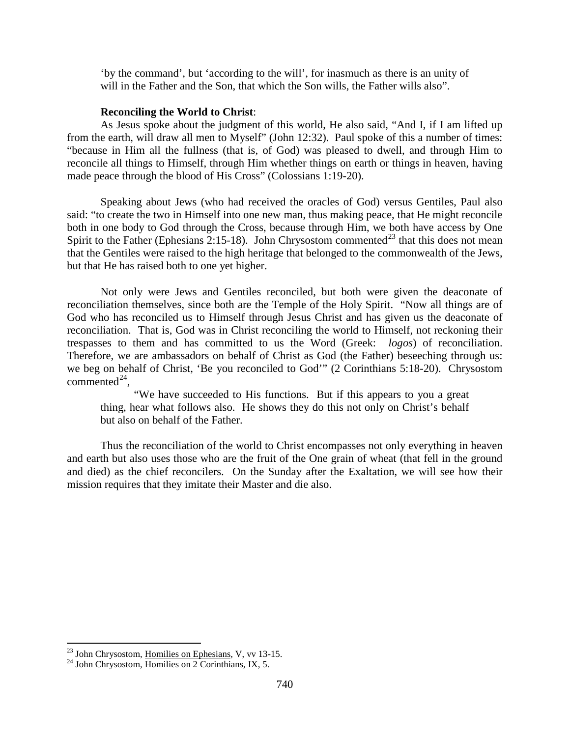'by the command', but 'according to the will', for inasmuch as there is an unity of will in the Father and the Son, that which the Son wills, the Father wills also".

#### **Reconciling the World to Christ**:

As Jesus spoke about the judgment of this world, He also said, "And I, if I am lifted up from the earth, will draw all men to Myself" (John 12:32). Paul spoke of this a number of times: "because in Him all the fullness (that is, of God) was pleased to dwell, and through Him to reconcile all things to Himself, through Him whether things on earth or things in heaven, having made peace through the blood of His Cross" (Colossians 1:19-20).

Speaking about Jews (who had received the oracles of God) versus Gentiles, Paul also said: "to create the two in Himself into one new man, thus making peace, that He might reconcile both in one body to God through the Cross, because through Him, we both have access by One Spirit to the Father (Ephesians 2:15-18). John Chrysostom commented<sup>[23](#page-9-0)</sup> that this does not mean that the Gentiles were raised to the high heritage that belonged to the commonwealth of the Jews, but that He has raised both to one yet higher.

Not only were Jews and Gentiles reconciled, but both were given the deaconate of reconciliation themselves, since both are the Temple of the Holy Spirit. "Now all things are of God who has reconciled us to Himself through Jesus Christ and has given us the deaconate of reconciliation. That is, God was in Christ reconciling the world to Himself, not reckoning their trespasses to them and has committed to us the Word (Greek: *logos*) of reconciliation. Therefore, we are ambassadors on behalf of Christ as God (the Father) beseeching through us: we beg on behalf of Christ, 'Be you reconciled to God'" (2 Corinthians 5:18-20). Chrysostom commented $^{24}$ ,

"We have succeeded to His functions. But if this appears to you a great thing, hear what follows also. He shows they do this not only on Christ's behalf but also on behalf of the Father.

Thus the reconciliation of the world to Christ encompasses not only everything in heaven and earth but also uses those who are the fruit of the One grain of wheat (that fell in the ground and died) as the chief reconcilers. On the Sunday after the Exaltation, we will see how their mission requires that they imitate their Master and die also.

<span id="page-9-0"></span><sup>&</sup>lt;sup>23</sup> John Chrysostom, <u>Homilies on Ephesians</u>, V, vv 13-15.<br><sup>24</sup> John Chrysostom, Homilies on 2 Corinthians, IX, 5.

<span id="page-9-1"></span>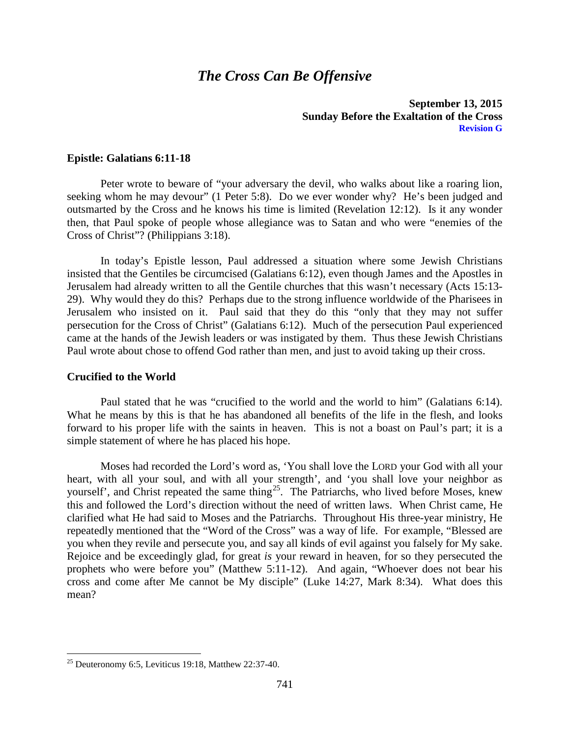# *The Cross Can Be Offensive*

#### **September 13, 2015 Sunday Before the Exaltation of the Cross Revision G**

#### <span id="page-10-0"></span>**Epistle: Galatians 6:11-18**

Peter wrote to beware of "your adversary the devil, who walks about like a roaring lion, seeking whom he may devour" (1 Peter 5:8). Do we ever wonder why? He's been judged and outsmarted by the Cross and he knows his time is limited (Revelation 12:12). Is it any wonder then, that Paul spoke of people whose allegiance was to Satan and who were "enemies of the Cross of Christ"? (Philippians 3:18).

In today's Epistle lesson, Paul addressed a situation where some Jewish Christians insisted that the Gentiles be circumcised (Galatians 6:12), even though James and the Apostles in Jerusalem had already written to all the Gentile churches that this wasn't necessary (Acts 15:13- 29). Why would they do this? Perhaps due to the strong influence worldwide of the Pharisees in Jerusalem who insisted on it. Paul said that they do this "only that they may not suffer persecution for the Cross of Christ" (Galatians 6:12). Much of the persecution Paul experienced came at the hands of the Jewish leaders or was instigated by them. Thus these Jewish Christians Paul wrote about chose to offend God rather than men, and just to avoid taking up their cross.

#### <span id="page-10-1"></span>**Crucified to the World**

Paul stated that he was "crucified to the world and the world to him" (Galatians 6:14). What he means by this is that he has abandoned all benefits of the life in the flesh, and looks forward to his proper life with the saints in heaven. This is not a boast on Paul's part; it is a simple statement of where he has placed his hope.

Moses had recorded the Lord's word as, 'You shall love the LORD your God with all your heart, with all your soul, and with all your strength', and 'you shall love your neighbor as yourself', and Christ repeated the same thing<sup>[25](#page-10-2)</sup>. The Patriarchs, who lived before Moses, knew this and followed the Lord's direction without the need of written laws. When Christ came, He clarified what He had said to Moses and the Patriarchs. Throughout His three-year ministry, He repeatedly mentioned that the "Word of the Cross" was a way of life. For example, "Blessed are you when they revile and persecute you, and say all kinds of evil against you falsely for My sake. Rejoice and be exceedingly glad, for great *is* your reward in heaven, for so they persecuted the prophets who were before you" (Matthew 5:11-12). And again, "Whoever does not bear his cross and come after Me cannot be My disciple" (Luke 14:27, Mark 8:34). What does this mean?

<span id="page-10-2"></span> $25$  Deuteronomy 6:5, Leviticus 19:18, Matthew 22:37-40.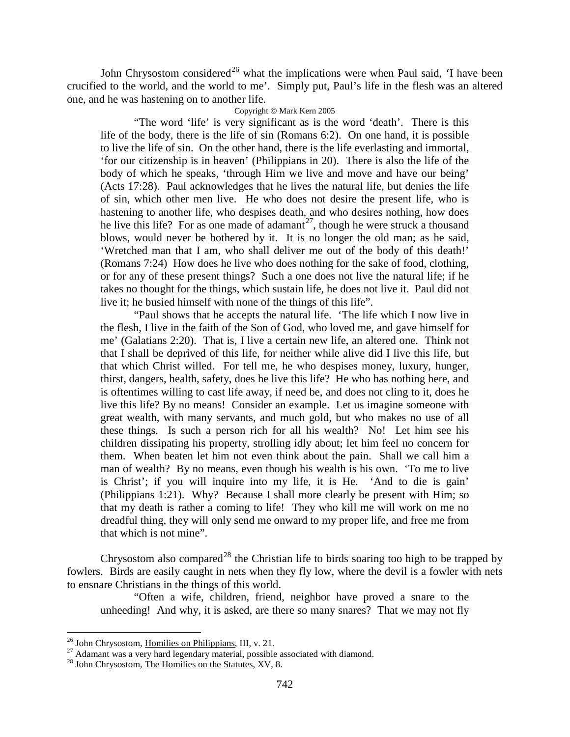John Chrysostom considered<sup>[26](#page-11-0)</sup> what the implications were when Paul said, 'I have been crucified to the world, and the world to me'. Simply put, Paul's life in the flesh was an altered one, and he was hastening on to another life.

#### Copyright © Mark Kern 2005

"The word 'life' is very significant as is the word 'death'. There is this life of the body, there is the life of sin (Romans 6:2). On one hand, it is possible to live the life of sin. On the other hand, there is the life everlasting and immortal, 'for our citizenship is in heaven' (Philippians in 20). There is also the life of the body of which he speaks, 'through Him we live and move and have our being' (Acts 17:28). Paul acknowledges that he lives the natural life, but denies the life of sin, which other men live. He who does not desire the present life, who is hastening to another life, who despises death, and who desires nothing, how does he live this life? For as one made of adamant<sup>[27](#page-11-1)</sup>, though he were struck a thousand blows, would never be bothered by it. It is no longer the old man; as he said, 'Wretched man that I am, who shall deliver me out of the body of this death!' (Romans 7:24) How does he live who does nothing for the sake of food, clothing, or for any of these present things? Such a one does not live the natural life; if he takes no thought for the things, which sustain life, he does not live it. Paul did not live it; he busied himself with none of the things of this life".

"Paul shows that he accepts the natural life. 'The life which I now live in the flesh, I live in the faith of the Son of God, who loved me, and gave himself for me' (Galatians 2:20). That is, I live a certain new life, an altered one. Think not that I shall be deprived of this life, for neither while alive did I live this life, but that which Christ willed. For tell me, he who despises money, luxury, hunger, thirst, dangers, health, safety, does he live this life? He who has nothing here, and is oftentimes willing to cast life away, if need be, and does not cling to it, does he live this life? By no means! Consider an example. Let us imagine someone with great wealth, with many servants, and much gold, but who makes no use of all these things. Is such a person rich for all his wealth? No! Let him see his children dissipating his property, strolling idly about; let him feel no concern for them. When beaten let him not even think about the pain. Shall we call him a man of wealth? By no means, even though his wealth is his own. 'To me to live is Christ'; if you will inquire into my life, it is He. 'And to die is gain' (Philippians 1:21). Why? Because I shall more clearly be present with Him; so that my death is rather a coming to life! They who kill me will work on me no dreadful thing, they will only send me onward to my proper life, and free me from that which is not mine".

Chrysostom also compared<sup>[28](#page-11-2)</sup> the Christian life to birds soaring too high to be trapped by fowlers. Birds are easily caught in nets when they fly low, where the devil is a fowler with nets to ensnare Christians in the things of this world.

"Often a wife, children, friend, neighbor have proved a snare to the unheeding! And why, it is asked, are there so many snares? That we may not fly

<span id="page-11-1"></span><span id="page-11-0"></span><sup>&</sup>lt;sup>26</sup> John Chrysostom, <u>Homilies on Philippians</u>, III, v. 21.<br><sup>27</sup> Adamant was a very hard legendary material, possible associated with diamond.<br><sup>28</sup> John Chrysostom, The Homilies on the Statutes, XV, 8.

<span id="page-11-2"></span>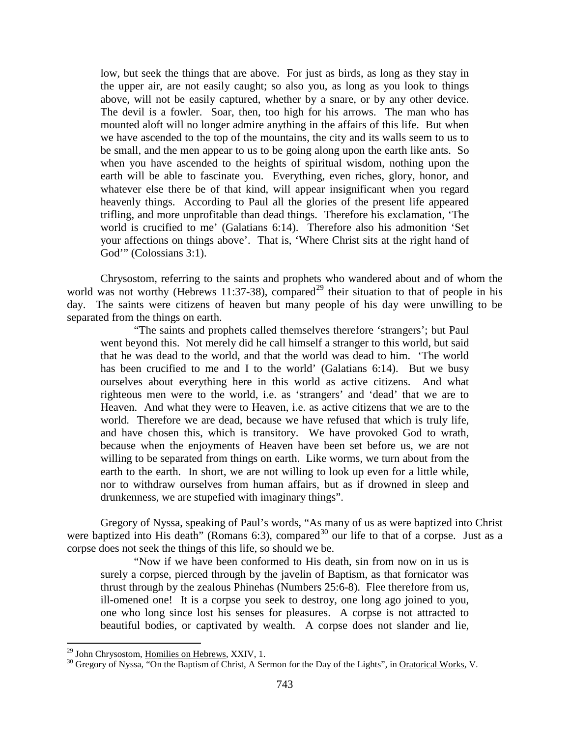low, but seek the things that are above. For just as birds, as long as they stay in the upper air, are not easily caught; so also you, as long as you look to things above, will not be easily captured, whether by a snare, or by any other device. The devil is a fowler. Soar, then, too high for his arrows. The man who has mounted aloft will no longer admire anything in the affairs of this life. But when we have ascended to the top of the mountains, the city and its walls seem to us to be small, and the men appear to us to be going along upon the earth like ants. So when you have ascended to the heights of spiritual wisdom, nothing upon the earth will be able to fascinate you. Everything, even riches, glory, honor, and whatever else there be of that kind, will appear insignificant when you regard heavenly things. According to Paul all the glories of the present life appeared trifling, and more unprofitable than dead things. Therefore his exclamation, 'The world is crucified to me' (Galatians 6:14). Therefore also his admonition 'Set your affections on things above'. That is, 'Where Christ sits at the right hand of God'" (Colossians 3:1).

Chrysostom, referring to the saints and prophets who wandered about and of whom the world was not worthy (Hebrews 11:37-38), compared<sup>[29](#page-12-0)</sup> their situation to that of people in his day. The saints were citizens of heaven but many people of his day were unwilling to be separated from the things on earth.

"The saints and prophets called themselves therefore 'strangers'; but Paul went beyond this. Not merely did he call himself a stranger to this world, but said that he was dead to the world, and that the world was dead to him. 'The world has been crucified to me and I to the world' (Galatians 6:14). But we busy ourselves about everything here in this world as active citizens. And what righteous men were to the world, i.e. as 'strangers' and 'dead' that we are to Heaven. And what they were to Heaven, i.e. as active citizens that we are to the world. Therefore we are dead, because we have refused that which is truly life, and have chosen this, which is transitory. We have provoked God to wrath, because when the enjoyments of Heaven have been set before us, we are not willing to be separated from things on earth. Like worms, we turn about from the earth to the earth. In short, we are not willing to look up even for a little while, nor to withdraw ourselves from human affairs, but as if drowned in sleep and drunkenness, we are stupefied with imaginary things".

Gregory of Nyssa, speaking of Paul's words, "As many of us as were baptized into Christ were baptized into His death" (Romans 6:3), compared<sup>[30](#page-12-1)</sup> our life to that of a corpse. Just as a corpse does not seek the things of this life, so should we be.

"Now if we have been conformed to His death, sin from now on in us is surely a corpse, pierced through by the javelin of Baptism, as that fornicator was thrust through by the zealous Phinehas (Numbers 25:6-8). Flee therefore from us, ill-omened one! It is a corpse you seek to destroy, one long ago joined to you, one who long since lost his senses for pleasures. A corpse is not attracted to beautiful bodies, or captivated by wealth. A corpse does not slander and lie,

<span id="page-12-1"></span><span id="page-12-0"></span><sup>&</sup>lt;sup>29</sup> John Chrysostom, <u>Homilies on Hebrews</u>, XXIV, 1.<br><sup>30</sup> Gregory of Nyssa, "On the Baptism of Christ, A Sermon for the Day of the Lights", in <u>Oratorical Works</u>, V.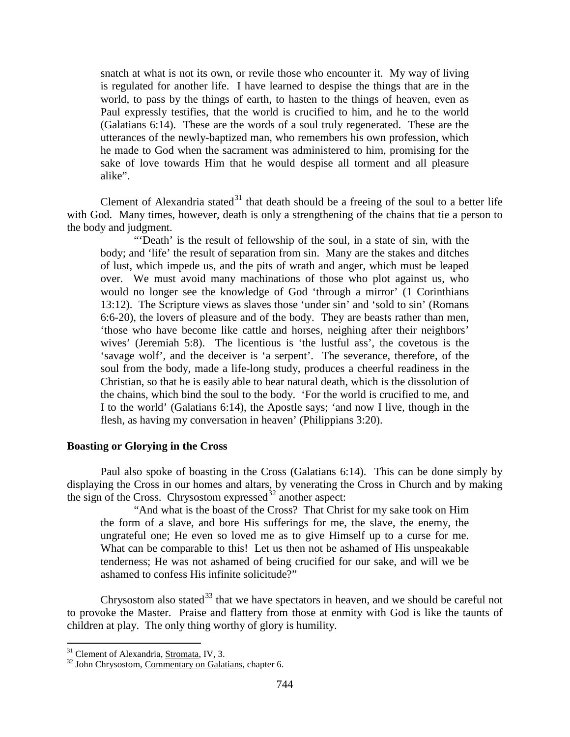snatch at what is not its own, or revile those who encounter it. My way of living is regulated for another life. I have learned to despise the things that are in the world, to pass by the things of earth, to hasten to the things of heaven, even as Paul expressly testifies, that the world is crucified to him, and he to the world (Galatians 6:14). These are the words of a soul truly regenerated. These are the utterances of the newly-baptized man, who remembers his own profession, which he made to God when the sacrament was administered to him, promising for the sake of love towards Him that he would despise all torment and all pleasure alike".

Clement of Alexandria stated<sup>[31](#page-13-1)</sup> that death should be a freeing of the soul to a better life with God. Many times, however, death is only a strengthening of the chains that tie a person to the body and judgment.

"Death' is the result of fellowship of the soul, in a state of sin, with the body; and 'life' the result of separation from sin. Many are the stakes and ditches of lust, which impede us, and the pits of wrath and anger, which must be leaped over. We must avoid many machinations of those who plot against us, who would no longer see the knowledge of God 'through a mirror' (1 Corinthians 13:12). The Scripture views as slaves those 'under sin' and 'sold to sin' (Romans 6:6-20), the lovers of pleasure and of the body. They are beasts rather than men, 'those who have become like cattle and horses, neighing after their neighbors' wives' (Jeremiah 5:8). The licentious is 'the lustful ass', the covetous is the 'savage wolf', and the deceiver is 'a serpent'. The severance, therefore, of the soul from the body, made a life-long study, produces a cheerful readiness in the Christian, so that he is easily able to bear natural death, which is the dissolution of the chains, which bind the soul to the body. 'For the world is crucified to me, and I to the world' (Galatians 6:14), the Apostle says; 'and now I live, though in the flesh, as having my conversation in heaven' (Philippians 3:20).

#### <span id="page-13-0"></span>**Boasting or Glorying in the Cross**

Paul also spoke of boasting in the Cross (Galatians 6:14). This can be done simply by displaying the Cross in our homes and altars, by venerating the Cross in Church and by making the sign of the Cross. Chrysostom expressed $32$  another aspect:

"And what is the boast of the Cross? That Christ for my sake took on Him the form of a slave, and bore His sufferings for me, the slave, the enemy, the ungrateful one; He even so loved me as to give Himself up to a curse for me. What can be comparable to this! Let us then not be ashamed of His unspeakable tenderness; He was not ashamed of being crucified for our sake, and will we be ashamed to confess His infinite solicitude?"

Chrysostom also stated<sup>[33](#page-13-1)</sup> that we have spectators in heaven, and we should be careful not to provoke the Master. Praise and flattery from those at enmity with God is like the taunts of children at play. The only thing worthy of glory is humility.

<span id="page-13-2"></span><span id="page-13-1"></span><sup>&</sup>lt;sup>31</sup> Clement of Alexandria, <u>Stromata</u>, IV, 3.<br><sup>32</sup> John Chrysostom, Commentary on Galatians, chapter 6.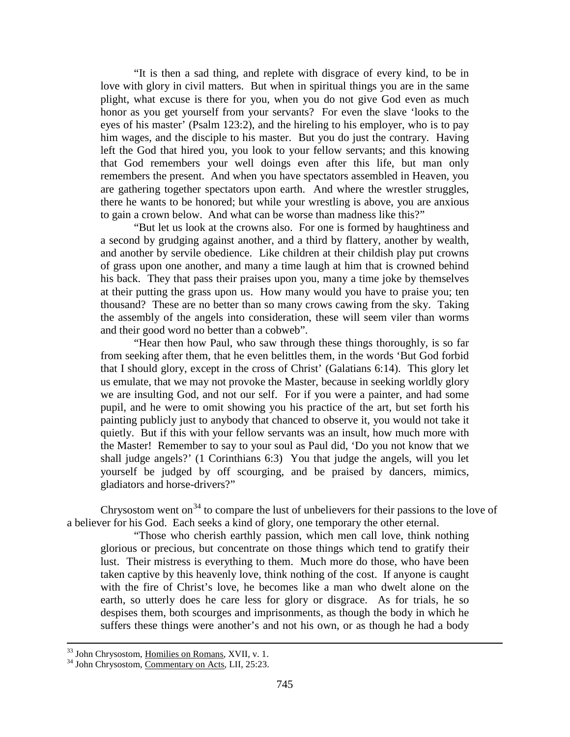"It is then a sad thing, and replete with disgrace of every kind, to be in love with glory in civil matters. But when in spiritual things you are in the same plight, what excuse is there for you, when you do not give God even as much honor as you get yourself from your servants? For even the slave 'looks to the eyes of his master' (Psalm 123:2), and the hireling to his employer, who is to pay him wages, and the disciple to his master. But you do just the contrary. Having left the God that hired you, you look to your fellow servants; and this knowing that God remembers your well doings even after this life, but man only remembers the present. And when you have spectators assembled in Heaven, you are gathering together spectators upon earth. And where the wrestler struggles, there he wants to be honored; but while your wrestling is above, you are anxious to gain a crown below. And what can be worse than madness like this?"

"But let us look at the crowns also. For one is formed by haughtiness and a second by grudging against another, and a third by flattery, another by wealth, and another by servile obedience. Like children at their childish play put crowns of grass upon one another, and many a time laugh at him that is crowned behind his back. They that pass their praises upon you, many a time joke by themselves at their putting the grass upon us. How many would you have to praise you; ten thousand? These are no better than so many crows cawing from the sky. Taking the assembly of the angels into consideration, these will seem viler than worms and their good word no better than a cobweb".

"Hear then how Paul, who saw through these things thoroughly, is so far from seeking after them, that he even belittles them, in the words 'But God forbid that I should glory, except in the cross of Christ' (Galatians 6:14). This glory let us emulate, that we may not provoke the Master, because in seeking worldly glory we are insulting God, and not our self. For if you were a painter, and had some pupil, and he were to omit showing you his practice of the art, but set forth his painting publicly just to anybody that chanced to observe it, you would not take it quietly. But if this with your fellow servants was an insult, how much more with the Master! Remember to say to your soul as Paul did, 'Do you not know that we shall judge angels?' (1 Corinthians 6:3) You that judge the angels, will you let yourself be judged by off scourging, and be praised by dancers, mimics, gladiators and horse-drivers?"

Chrysostom went on<sup>[34](#page-14-0)</sup> to compare the lust of unbelievers for their passions to the love of a believer for his God. Each seeks a kind of glory, one temporary the other eternal.

"Those who cherish earthly passion, which men call love, think nothing glorious or precious, but concentrate on those things which tend to gratify their lust. Their mistress is everything to them. Much more do those, who have been taken captive by this heavenly love, think nothing of the cost. If anyone is caught with the fire of Christ's love, he becomes like a man who dwelt alone on the earth, so utterly does he care less for glory or disgrace. As for trials, he so despises them, both scourges and imprisonments, as though the body in which he suffers these things were another's and not his own, or as though he had a body

<span id="page-14-0"></span><sup>&</sup>lt;sup>33</sup> John Chrysostom, <u>Homilies on Romans</u>, XVII, v. 1.<br><sup>34</sup> John Chrysostom, Commentary on Acts, LII, 25:23.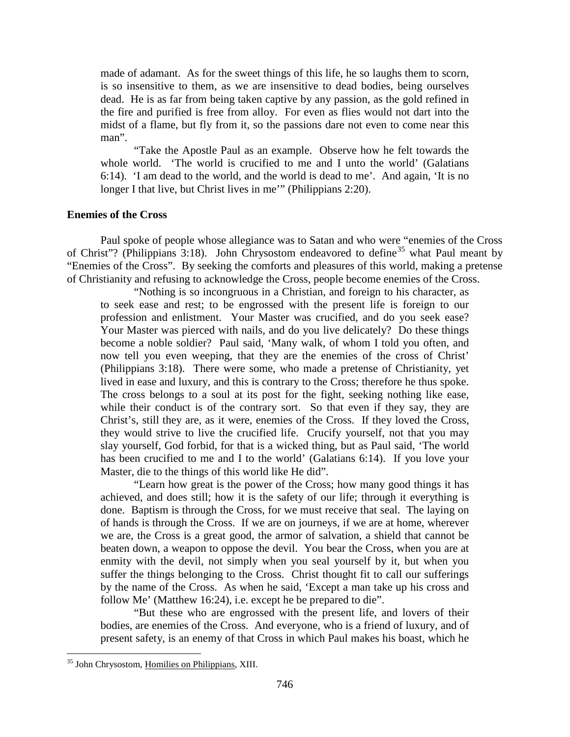made of adamant. As for the sweet things of this life, he so laughs them to scorn, is so insensitive to them, as we are insensitive to dead bodies, being ourselves dead. He is as far from being taken captive by any passion, as the gold refined in the fire and purified is free from alloy. For even as flies would not dart into the midst of a flame, but fly from it, so the passions dare not even to come near this man".

"Take the Apostle Paul as an example. Observe how he felt towards the whole world. 'The world is crucified to me and I unto the world' (Galatians 6:14). 'I am dead to the world, and the world is dead to me'. And again, 'It is no longer I that live, but Christ lives in me'" (Philippians 2:20).

# <span id="page-15-0"></span>**Enemies of the Cross**

Paul spoke of people whose allegiance was to Satan and who were "enemies of the Cross of Christ"? (Philippians 3:18). John Chrysostom endeavored to define<sup>[35](#page-15-1)</sup> what Paul meant by "Enemies of the Cross". By seeking the comforts and pleasures of this world, making a pretense of Christianity and refusing to acknowledge the Cross, people become enemies of the Cross.

"Nothing is so incongruous in a Christian, and foreign to his character, as to seek ease and rest; to be engrossed with the present life is foreign to our profession and enlistment. Your Master was crucified, and do you seek ease? Your Master was pierced with nails, and do you live delicately? Do these things become a noble soldier? Paul said, 'Many walk, of whom I told you often, and now tell you even weeping, that they are the enemies of the cross of Christ' (Philippians 3:18). There were some, who made a pretense of Christianity, yet lived in ease and luxury, and this is contrary to the Cross; therefore he thus spoke. The cross belongs to a soul at its post for the fight, seeking nothing like ease, while their conduct is of the contrary sort. So that even if they say, they are Christ's, still they are, as it were, enemies of the Cross. If they loved the Cross, they would strive to live the crucified life. Crucify yourself, not that you may slay yourself, God forbid, for that is a wicked thing, but as Paul said, 'The world has been crucified to me and I to the world' (Galatians 6:14). If you love your Master, die to the things of this world like He did".

"Learn how great is the power of the Cross; how many good things it has achieved, and does still; how it is the safety of our life; through it everything is done. Baptism is through the Cross, for we must receive that seal. The laying on of hands is through the Cross. If we are on journeys, if we are at home, wherever we are, the Cross is a great good, the armor of salvation, a shield that cannot be beaten down, a weapon to oppose the devil. You bear the Cross, when you are at enmity with the devil, not simply when you seal yourself by it, but when you suffer the things belonging to the Cross. Christ thought fit to call our sufferings by the name of the Cross. As when he said, 'Except a man take up his cross and follow Me' (Matthew 16:24), i.e. except he be prepared to die".

"But these who are engrossed with the present life, and lovers of their bodies, are enemies of the Cross. And everyone, who is a friend of luxury, and of present safety, is an enemy of that Cross in which Paul makes his boast, which he

<span id="page-15-1"></span> <sup>35</sup> John Chrysostom, Homilies on Philippians, XIII.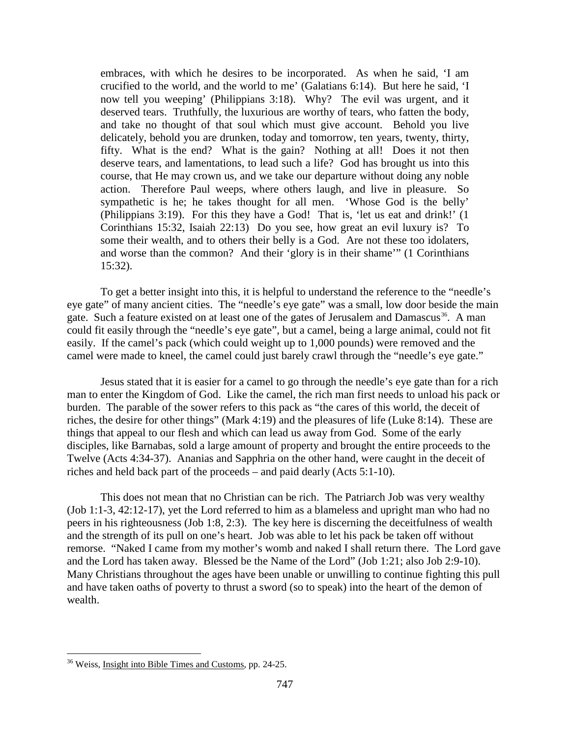embraces, with which he desires to be incorporated. As when he said, 'I am crucified to the world, and the world to me' (Galatians 6:14). But here he said, 'I now tell you weeping' (Philippians 3:18). Why? The evil was urgent, and it deserved tears. Truthfully, the luxurious are worthy of tears, who fatten the body, and take no thought of that soul which must give account. Behold you live delicately, behold you are drunken, today and tomorrow, ten years, twenty, thirty, fifty. What is the end? What is the gain? Nothing at all! Does it not then deserve tears, and lamentations, to lead such a life? God has brought us into this course, that He may crown us, and we take our departure without doing any noble action. Therefore Paul weeps, where others laugh, and live in pleasure. So sympathetic is he; he takes thought for all men. 'Whose God is the belly' (Philippians 3:19). For this they have a God! That is, 'let us eat and drink!' (1 Corinthians 15:32, Isaiah 22:13) Do you see, how great an evil luxury is? To some their wealth, and to others their belly is a God. Are not these too idolaters, and worse than the common? And their 'glory is in their shame'" (1 Corinthians 15:32).

To get a better insight into this, it is helpful to understand the reference to the "needle's eye gate" of many ancient cities. The "needle's eye gate" was a small, low door beside the main gate. Such a feature existed on at least one of the gates of Jerusalem and Damascus<sup>36</sup>. A man could fit easily through the "needle's eye gate", but a camel, being a large animal, could not fit easily. If the camel's pack (which could weight up to 1,000 pounds) were removed and the camel were made to kneel, the camel could just barely crawl through the "needle's eye gate."

Jesus stated that it is easier for a camel to go through the needle's eye gate than for a rich man to enter the Kingdom of God. Like the camel, the rich man first needs to unload his pack or burden. The parable of the sower refers to this pack as "the cares of this world, the deceit of riches, the desire for other things" (Mark 4:19) and the pleasures of life (Luke 8:14). These are things that appeal to our flesh and which can lead us away from God. Some of the early disciples, like Barnabas, sold a large amount of property and brought the entire proceeds to the Twelve (Acts 4:34-37). Ananias and Sapphria on the other hand, were caught in the deceit of riches and held back part of the proceeds – and paid dearly (Acts 5:1-10).

This does not mean that no Christian can be rich. The Patriarch Job was very wealthy (Job 1:1-3, 42:12-17), yet the Lord referred to him as a blameless and upright man who had no peers in his righteousness (Job 1:8, 2:3). The key here is discerning the deceitfulness of wealth and the strength of its pull on one's heart. Job was able to let his pack be taken off without remorse. "Naked I came from my mother's womb and naked I shall return there. The Lord gave and the Lord has taken away. Blessed be the Name of the Lord" (Job 1:21; also Job 2:9-10). Many Christians throughout the ages have been unable or unwilling to continue fighting this pull and have taken oaths of poverty to thrust a sword (so to speak) into the heart of the demon of wealth.

<span id="page-16-0"></span><sup>&</sup>lt;sup>36</sup> Weiss, Insight into Bible Times and Customs, pp. 24-25.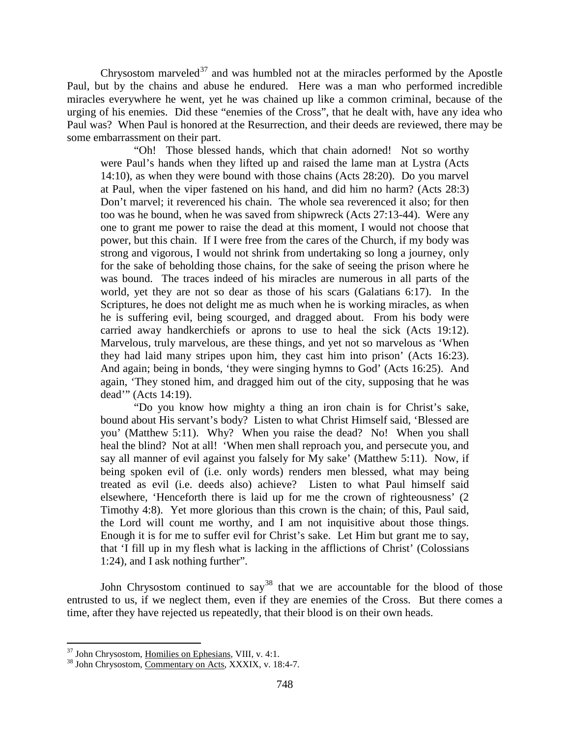Chrysostom marveled<sup>[37](#page-17-0)</sup> and was humbled not at the miracles performed by the Apostle Paul, but by the chains and abuse he endured. Here was a man who performed incredible miracles everywhere he went, yet he was chained up like a common criminal, because of the urging of his enemies. Did these "enemies of the Cross", that he dealt with, have any idea who Paul was? When Paul is honored at the Resurrection, and their deeds are reviewed, there may be some embarrassment on their part.

"Oh! Those blessed hands, which that chain adorned! Not so worthy were Paul's hands when they lifted up and raised the lame man at Lystra (Acts 14:10), as when they were bound with those chains (Acts 28:20). Do you marvel at Paul, when the viper fastened on his hand, and did him no harm? (Acts 28:3) Don't marvel; it reverenced his chain. The whole sea reverenced it also; for then too was he bound, when he was saved from shipwreck (Acts 27:13-44). Were any one to grant me power to raise the dead at this moment, I would not choose that power, but this chain. If I were free from the cares of the Church, if my body was strong and vigorous, I would not shrink from undertaking so long a journey, only for the sake of beholding those chains, for the sake of seeing the prison where he was bound. The traces indeed of his miracles are numerous in all parts of the world, yet they are not so dear as those of his scars (Galatians 6:17). In the Scriptures, he does not delight me as much when he is working miracles, as when he is suffering evil, being scourged, and dragged about. From his body were carried away handkerchiefs or aprons to use to heal the sick (Acts 19:12). Marvelous, truly marvelous, are these things, and yet not so marvelous as 'When they had laid many stripes upon him, they cast him into prison' (Acts 16:23). And again; being in bonds, 'they were singing hymns to God' (Acts 16:25). And again, 'They stoned him, and dragged him out of the city, supposing that he was dead'" (Acts 14:19).

"Do you know how mighty a thing an iron chain is for Christ's sake, bound about His servant's body? Listen to what Christ Himself said, 'Blessed are you' (Matthew 5:11). Why? When you raise the dead? No! When you shall heal the blind? Not at all! 'When men shall reproach you, and persecute you, and say all manner of evil against you falsely for My sake' (Matthew 5:11). Now, if being spoken evil of (i.e. only words) renders men blessed, what may being treated as evil (i.e. deeds also) achieve? Listen to what Paul himself said elsewhere, 'Henceforth there is laid up for me the crown of righteousness' (2 Timothy 4:8). Yet more glorious than this crown is the chain; of this, Paul said, the Lord will count me worthy, and I am not inquisitive about those things. Enough it is for me to suffer evil for Christ's sake. Let Him but grant me to say, that 'I fill up in my flesh what is lacking in the afflictions of Christ' (Colossians 1:24), and I ask nothing further".

John Chrysostom continued to say<sup>[38](#page-17-1)</sup> that we are accountable for the blood of those entrusted to us, if we neglect them, even if they are enemies of the Cross. But there comes a time, after they have rejected us repeatedly, that their blood is on their own heads.

<span id="page-17-1"></span><span id="page-17-0"></span> $37$  John Chrysostom, Homilies on Ephesians, VIII, v. 4:1.<br> $38$  John Chrysostom, Commentary on Acts, XXXIX, v. 18:4-7.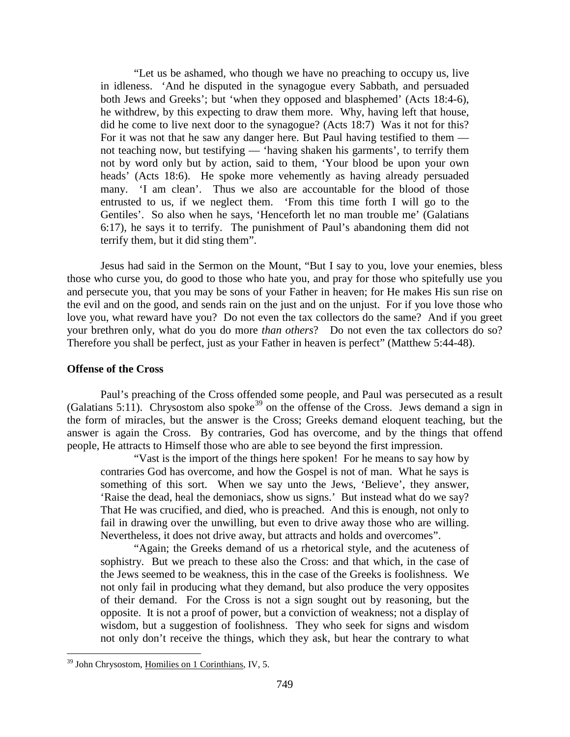"Let us be ashamed, who though we have no preaching to occupy us, live in idleness. 'And he disputed in the synagogue every Sabbath, and persuaded both Jews and Greeks'; but 'when they opposed and blasphemed' (Acts 18:4-6), he withdrew, by this expecting to draw them more. Why, having left that house, did he come to live next door to the synagogue? (Acts 18:7) Was it not for this? For it was not that he saw any danger here. But Paul having testified to them not teaching now, but testifying — 'having shaken his garments', to terrify them not by word only but by action, said to them, 'Your blood be upon your own heads' (Acts 18:6). He spoke more vehemently as having already persuaded many. 'I am clean'. Thus we also are accountable for the blood of those entrusted to us, if we neglect them. 'From this time forth I will go to the Gentiles'. So also when he says, 'Henceforth let no man trouble me' (Galatians 6:17), he says it to terrify. The punishment of Paul's abandoning them did not terrify them, but it did sting them".

Jesus had said in the Sermon on the Mount, "But I say to you, love your enemies, bless those who curse you, do good to those who hate you, and pray for those who spitefully use you and persecute you, that you may be sons of your Father in heaven; for He makes His sun rise on the evil and on the good, and sends rain on the just and on the unjust. For if you love those who love you, what reward have you? Do not even the tax collectors do the same? And if you greet your brethren only, what do you do more *than others*? Do not even the tax collectors do so? Therefore you shall be perfect, just as your Father in heaven is perfect" (Matthew 5:44-48).

#### <span id="page-18-0"></span>**Offense of the Cross**

Paul's preaching of the Cross offended some people, and Paul was persecuted as a result (Galatians 5:11). Chrysostom also spoke<sup>[39](#page-18-1)</sup> on the offense of the Cross. Jews demand a sign in the form of miracles, but the answer is the Cross; Greeks demand eloquent teaching, but the answer is again the Cross. By contraries, God has overcome, and by the things that offend people, He attracts to Himself those who are able to see beyond the first impression.

"Vast is the import of the things here spoken! For he means to say how by contraries God has overcome, and how the Gospel is not of man. What he says is something of this sort. When we say unto the Jews, 'Believe', they answer, 'Raise the dead, heal the demoniacs, show us signs.' But instead what do we say? That He was crucified, and died, who is preached. And this is enough, not only to fail in drawing over the unwilling, but even to drive away those who are willing. Nevertheless, it does not drive away, but attracts and holds and overcomes".

"Again; the Greeks demand of us a rhetorical style, and the acuteness of sophistry. But we preach to these also the Cross: and that which, in the case of the Jews seemed to be weakness, this in the case of the Greeks is foolishness. We not only fail in producing what they demand, but also produce the very opposites of their demand. For the Cross is not a sign sought out by reasoning, but the opposite. It is not a proof of power, but a conviction of weakness; not a display of wisdom, but a suggestion of foolishness. They who seek for signs and wisdom not only don't receive the things, which they ask, but hear the contrary to what

<span id="page-18-1"></span> <sup>39</sup> John Chrysostom, Homilies on 1 Corinthians, IV, 5.